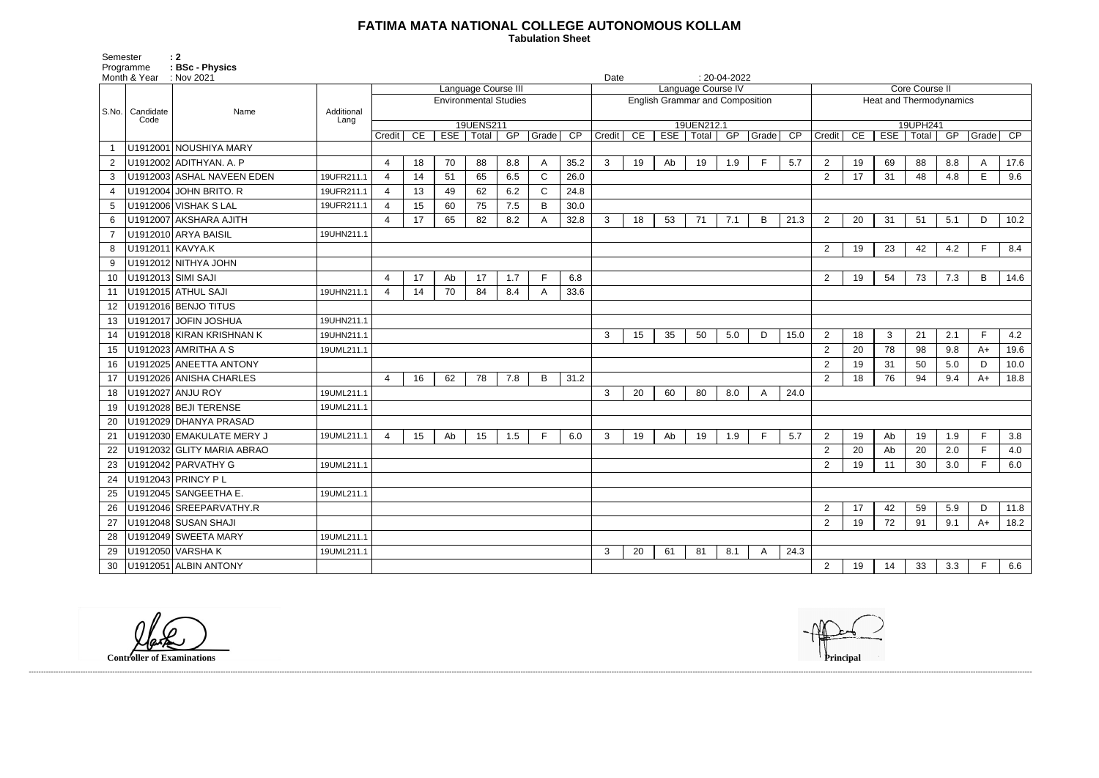## **FATIMA MATA NATIONAL COLLEGE AUTONOMOUS KOLLAM**

Semester : 2 Programme **: BSc - Physics**  **Tabulation Sheet** 

|                |                    | Month & Year : Nov 2021<br>Date |                    |                              |    |                  |                     |     |              |                 |                                        |    | $: 20-04-2022$ |             |     |              |      |                         |    |                  |          |     |              |      |
|----------------|--------------------|---------------------------------|--------------------|------------------------------|----|------------------|---------------------|-----|--------------|-----------------|----------------------------------------|----|----------------|-------------|-----|--------------|------|-------------------------|----|------------------|----------|-----|--------------|------|
|                |                    |                                 |                    |                              |    |                  | Language Course III |     |              |                 | Language Course IV                     |    |                |             |     |              |      | <b>Core Course II</b>   |    |                  |          |     |              |      |
| S.No.          |                    |                                 |                    | <b>Environmental Studies</b> |    |                  |                     |     |              |                 | <b>English Grammar and Composition</b> |    |                |             |     |              |      | Heat and Thermodynamics |    |                  |          |     |              |      |
|                | Candidate<br>Code  | Name                            | Additional<br>Lang |                              |    |                  |                     |     |              |                 |                                        |    |                |             |     |              |      |                         |    |                  |          |     |              |      |
|                |                    |                                 |                    |                              |    |                  | 19UENS211           |     |              |                 |                                        |    |                | 19UEN212.1  |     |              |      |                         |    |                  | 19UPH241 |     |              |      |
|                |                    |                                 |                    | Credit                       | CE | ESE <sup>1</sup> | Total               | GF  | Grade        | $\overline{CP}$ | Credit                                 | CE |                | ESE   Total | GP  | Grade        | CP   | Credit                  | CE | ESE <sup>1</sup> | Total    | GP  | Grade        | CP   |
|                |                    | U1912001 NOUSHIYA MARY          |                    |                              |    |                  |                     |     |              |                 |                                        |    |                |             |     |              |      |                         |    |                  |          |     |              |      |
| $\overline{2}$ |                    | U1912002 ADITHYAN. A. P         |                    | $\overline{4}$               | 18 | 70               | 88                  | 8.8 | A            | 35.2            | 3                                      | 19 | Ab             | 19          | 1.9 | F            | 5.7  | $\overline{2}$          | 19 | 69               | 88       | 8.8 | $\mathsf{A}$ | 17.6 |
| 3              |                    | U1912003 ASHAL NAVEEN EDEN      | 19UFR211.1         | 4                            | 14 | 51               | 65                  | 6.5 | $\mathsf{C}$ | 26.0            |                                        |    |                |             |     |              |      | $\overline{2}$          | 17 | 31               | 48       | 4.8 | E            | 9.6  |
| 4              |                    | U1912004 JOHN BRITO. R          | 19UFR211.1         | $\overline{4}$               | 13 | 49               | 62                  | 6.2 | C            | 24.8            |                                        |    |                |             |     |              |      |                         |    |                  |          |     |              |      |
| 5              |                    | U1912006 VISHAK S LAL           | 19UFR211.1         | $\overline{4}$               | 15 | 60               | 75                  | 7.5 | B            | 30.0            |                                        |    |                |             |     |              |      |                         |    |                  |          |     |              |      |
| 6              |                    | U1912007 AKSHARA AJITH          |                    | 4                            | 17 | 65               | 82                  | 8.2 |              | 32.8            | 3                                      | 18 | 53             | 71          | 7.1 | B            | 21.3 | $\overline{2}$          | 20 | 31               | 51       | 5.1 | D            | 10.2 |
|                |                    | U1912010 ARYA BAISIL            | 19UHN211.1         |                              |    |                  |                     |     |              |                 |                                        |    |                |             |     |              |      |                         |    |                  |          |     |              |      |
| 8              | U1912011 KAVYA.K   |                                 |                    |                              |    |                  |                     |     |              |                 |                                        |    |                |             |     |              |      | $\overline{2}$          | 19 | 23               | 42       | 4.2 | E            | 8.4  |
| 9              |                    | U1912012 NITHYA JOHN            |                    |                              |    |                  |                     |     |              |                 |                                        |    |                |             |     |              |      |                         |    |                  |          |     |              |      |
| 10             | U1912013 SIMI SAJI |                                 |                    | 4                            | 17 | Ab               | 17                  | 1.7 | E            | 6.8             |                                        |    |                |             |     |              |      | $\overline{2}$          | 19 | 54               | 73       | 7.3 | B            | 14.6 |
| 11             |                    | U1912015 ATHUL SAJI             | 19UHN211.1         | $\overline{4}$               | 14 | 70               | 84                  | 8.4 |              | 33.6            |                                        |    |                |             |     |              |      |                         |    |                  |          |     |              |      |
| 12             |                    | U1912016 BENJO TITUS            |                    |                              |    |                  |                     |     |              |                 |                                        |    |                |             |     |              |      |                         |    |                  |          |     |              |      |
| 13             |                    | U1912017 JOFIN JOSHUA           | 19UHN211.1         |                              |    |                  |                     |     |              |                 |                                        |    |                |             |     |              |      |                         |    |                  |          |     |              |      |
| 14             |                    | U1912018 KIRAN KRISHNAN K       | 19UHN211.1         |                              |    |                  |                     |     |              |                 | 3                                      | 15 | 35             | 50          | 5.0 | D            | 15.0 | $\overline{2}$          | 18 | 3                | 21       | 2.1 | F            | 4.2  |
| 15             |                    | U1912023 AMRITHA A S            | 19UML211.1         |                              |    |                  |                     |     |              |                 |                                        |    |                |             |     |              |      | $\overline{2}$          | 20 | 78               | 98       | 9.8 | $A+$         | 19.6 |
| 16             |                    | U1912025 ANEETTA ANTONY         |                    |                              |    |                  |                     |     |              |                 |                                        |    |                |             |     |              |      | $\overline{2}$          | 19 | 31               | 50       | 5.0 | D            | 10.0 |
| 17             |                    | U1912026 ANISHA CHARLES         |                    | 4                            | 16 | 62               | 78                  | 7.8 | B            | 31.2            |                                        |    |                |             |     |              |      | $\overline{2}$          | 18 | 76               | 94       | 9.4 | $A+$         | 18.8 |
| 18             |                    | U1912027 ANJU ROY               | 19UML211.1         |                              |    |                  |                     |     |              |                 | 3                                      | 20 | 60             | 80          | 8.0 | A            | 24.0 |                         |    |                  |          |     |              |      |
| 19             |                    | U1912028 BEJI TERENSE           | 19UML211.1         |                              |    |                  |                     |     |              |                 |                                        |    |                |             |     |              |      |                         |    |                  |          |     |              |      |
| 20             |                    | U1912029 DHANYA PRASAD          |                    |                              |    |                  |                     |     |              |                 |                                        |    |                |             |     |              |      |                         |    |                  |          |     |              |      |
| 21             |                    | U1912030 EMAKULATE MERY J       | 19UML211.1         | $\overline{4}$               | 15 | Ab               | 15                  | 1.5 | F            | 6.0             | 3                                      | 19 | Ab             | 19          | 1.9 | F            | 5.7  | $\overline{2}$          | 19 | Ab               | 19       | 1.9 | E            | 3.8  |
| 22             |                    | U1912032 GLITY MARIA ABRAO      |                    |                              |    |                  |                     |     |              |                 |                                        |    |                |             |     |              |      | $\overline{2}$          | 20 | Ab               | 20       | 2.0 | E            | 4.0  |
| 23             |                    | U1912042 PARVATHY G             | 19UML211.1         |                              |    |                  |                     |     |              |                 |                                        |    |                |             |     |              |      | $\overline{2}$          | 19 | 11               | 30       | 3.0 | F.           | 6.0  |
| 24             |                    | U1912043 PRINCY PL              |                    |                              |    |                  |                     |     |              |                 |                                        |    |                |             |     |              |      |                         |    |                  |          |     |              |      |
| 25             |                    | U1912045   SANGEETHA E.         | 19UML211.1         |                              |    |                  |                     |     |              |                 |                                        |    |                |             |     |              |      |                         |    |                  |          |     |              |      |
| 26             |                    | U1912046 SREEPARVATHY.R         |                    |                              |    |                  |                     |     |              |                 |                                        |    |                |             |     |              |      | $\overline{2}$          | 17 | 42               | 59       | 5.9 | D            | 11.8 |
| 27             |                    | U1912048 SUSAN SHAJI            |                    |                              |    |                  |                     |     |              |                 |                                        |    |                |             |     |              |      | $\overline{2}$          | 19 | 72               | 91       | 9.1 | $A+$         | 18.2 |
| 28             |                    | U1912049 SWEETA MARY            | 19UML211.1         |                              |    |                  |                     |     |              |                 |                                        |    |                |             |     |              |      |                         |    |                  |          |     |              |      |
| 29             |                    | U1912050 VARSHA K               | 19UML211.1         |                              |    |                  |                     |     |              |                 | $\mathbf{3}$                           | 20 | 61             | 81          | 8.1 | $\mathsf{A}$ | 24.3 |                         |    |                  |          |     |              |      |
| 30             |                    | U1912051 ALBIN ANTONY           |                    |                              |    |                  |                     |     |              |                 |                                        |    |                |             |     |              |      | $\overline{2}$          | 19 | 14               | 33       | 3.3 | E            | 6.6  |

**Controller of Examinations Principal**

------------------------------------------------------------------------------------------------------------------------------------------------------------------------------------------------------------------------------------------------------------------------------------------------------------------------------------------------------------------------------------------------------------------------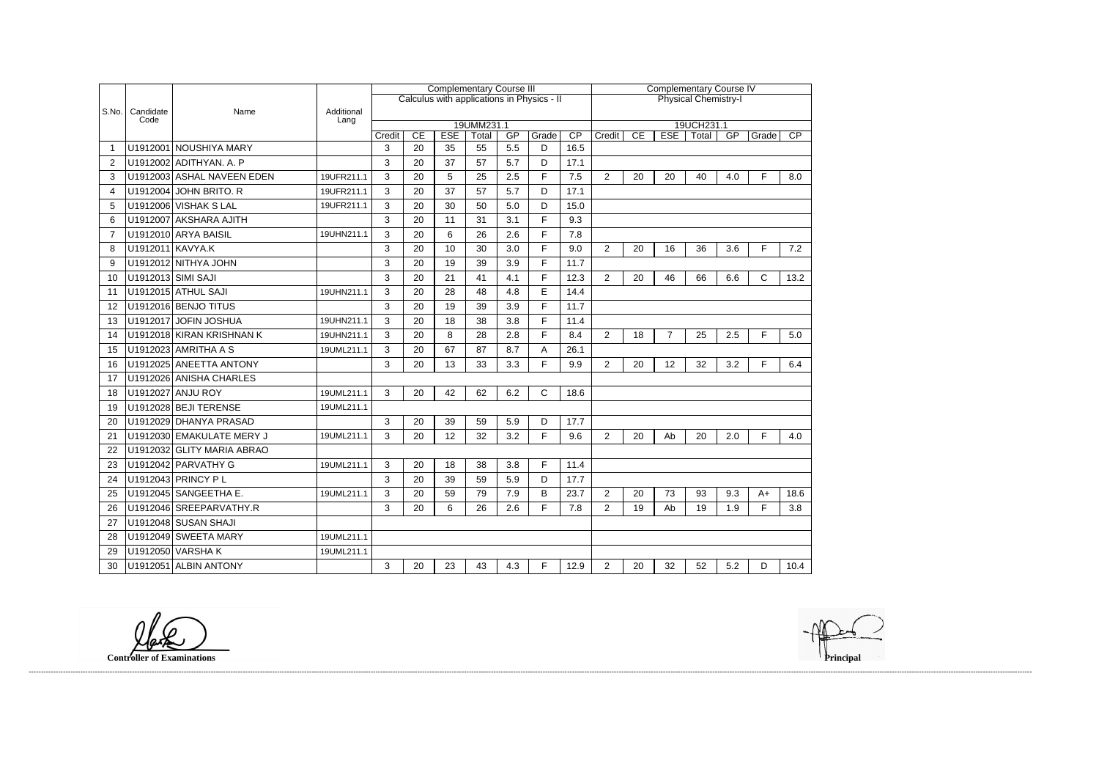|                |                    |                            |                    |              |                                            | <b>Complementary Course III</b> |                             |           |            | <b>Complementary Course IV</b> |                |    |                |       |     |              |                 |  |  |
|----------------|--------------------|----------------------------|--------------------|--------------|--------------------------------------------|---------------------------------|-----------------------------|-----------|------------|--------------------------------|----------------|----|----------------|-------|-----|--------------|-----------------|--|--|
|                |                    |                            |                    |              | Calculus with applications in Physics - II |                                 | <b>Physical Chemistry-I</b> |           |            |                                |                |    |                |       |     |              |                 |  |  |
| S.No.          | Candidate<br>Code  | Name                       | Additional<br>Lang |              |                                            |                                 |                             |           |            |                                |                |    |                |       |     |              |                 |  |  |
|                |                    |                            | 19UMM231.1         |              |                                            |                                 |                             |           |            |                                | 19UCH231.1     |    |                |       |     |              |                 |  |  |
|                |                    | U1912001 NOUSHIYA MARY     |                    | Credit<br>3  | CE<br>20                                   | <b>ESE</b><br>35                | Total<br>55                 | GP<br>5.5 | Grade<br>D | CP<br>16.5                     | Credit         | CE | <b>ESE</b>     | Total | GP  | Grade        | $\overline{CP}$ |  |  |
| $\overline{2}$ |                    | U1912002 ADITHYAN. A. P    |                    | 3            | 20                                         | 37                              | 57                          | 5.7       | D          | 17.1                           |                |    |                |       |     |              |                 |  |  |
| 3              |                    | U1912003 ASHAL NAVEEN EDEN | 19UFR211.1         | 3            | 20                                         | 5                               | 25                          | 2.5       | F          | 7.5                            | $\overline{2}$ | 20 | 20             | 40    | 4.0 | F            | 8.0             |  |  |
| 4              |                    | U1912004 JOHN BRITO. R     | 19UFR211.1         | 3            | 20                                         | 37                              | 57                          | 5.7       | D          | 17.1                           |                |    |                |       |     |              |                 |  |  |
| 5              |                    | U1912006 VISHAK S LAL      | 19UFR211.1         | 3            | 20                                         | 30                              | 50                          | 5.0       | D          | 15.0                           |                |    |                |       |     |              |                 |  |  |
| 6              |                    | U1912007 AKSHARA AJITH     |                    | 3            | 20                                         | 11                              | 31                          | 3.1       | F          | 9.3                            |                |    |                |       |     |              |                 |  |  |
| $\overline{7}$ |                    | U1912010 ARYA BAISIL       | 19UHN211.1         | 3            | 20                                         | 6                               | 26                          | 2.6       | F          | 7.8                            |                |    |                |       |     |              |                 |  |  |
|                | U1912011 KAVYA.K   |                            |                    |              | 20                                         | 10                              | 30                          |           | F          |                                |                |    |                |       |     | F            |                 |  |  |
| 8              |                    |                            |                    | 3            |                                            |                                 |                             | 3.0       | F          | 9.0                            | $\overline{2}$ | 20 | 16             | 36    | 3.6 |              | 7.2             |  |  |
| 9              |                    | U1912012 NITHYA JOHN       |                    | 3            | 20                                         | 19                              | 39                          | 3.9       |            | 11.7                           |                |    |                |       |     |              |                 |  |  |
| 10             | U1912013 SIMI SAJI |                            |                    | 3            | 20                                         | 21                              | 41                          | 4.1       | F          | 12.3                           | $\overline{2}$ | 20 | 46             | 66    | 6.6 | $\mathsf{C}$ | 13.2            |  |  |
| 11             |                    | U1912015 ATHUL SAJI        | 19UHN211.1         | $\mathbf{3}$ | 20                                         | 28                              | 48                          | 4.8       | E          | 14.4                           |                |    |                |       |     |              |                 |  |  |
| 12             |                    | U1912016 BENJO TITUS       |                    | 3            | 20                                         | 19                              | 39                          | 3.9       | F.         | 11.7                           |                |    |                |       |     |              |                 |  |  |
| 13             |                    | U1912017 JOFIN JOSHUA      | 19UHN211.1         | 3            | 20                                         | 18                              | 38                          | 3.8       | F          | 11.4                           |                |    |                |       |     |              |                 |  |  |
| 14             |                    | U1912018 KIRAN KRISHNAN K  | 19UHN211.1         | 3            | 20                                         | 8                               | 28                          | 2.8       | F          | 8.4                            | $\overline{2}$ | 18 | $\overline{7}$ | 25    | 2.5 | F            | 5.0             |  |  |
| 15             |                    | U1912023 AMRITHA A S       | 19UML211.1         | 3            | 20                                         | 67                              | 87                          | 8.7       | A          | 26.1                           |                |    |                |       |     |              |                 |  |  |
| 16             |                    | U1912025 ANEETTA ANTONY    |                    | 3            | 20                                         | 13                              | 33                          | 3.3       | F          | 9.9                            | $\overline{2}$ | 20 | 12             | 32    | 3.2 | F            | 6.4             |  |  |
| 17             |                    | U1912026 ANISHA CHARLES    |                    |              |                                            |                                 |                             |           |            |                                |                |    |                |       |     |              |                 |  |  |
| 18             |                    | U1912027 ANJU ROY          | 19UML211.1         | 3            | 20                                         | 42                              | 62                          | 6.2       | C          | 18.6                           |                |    |                |       |     |              |                 |  |  |
| 19             |                    | U1912028 BEJI TERENSE      | 19UML211.1         |              |                                            |                                 |                             |           |            |                                |                |    |                |       |     |              |                 |  |  |
| 20             |                    | U1912029 DHANYA PRASAD     |                    | 3            | 20                                         | 39                              | 59                          | 5.9       | D          | 17.7                           |                |    |                |       |     |              |                 |  |  |
| 21             |                    | U1912030 EMAKULATE MERY J  | 19UML211.1         | 3            | 20                                         | 12                              | 32                          | 3.2       | F          | 9.6                            | $\overline{2}$ | 20 | Ab             | 20    | 2.0 | F            | 4.0             |  |  |
| 22             |                    | U1912032 GLITY MARIA ABRAO |                    |              |                                            |                                 |                             |           |            |                                |                |    |                |       |     |              |                 |  |  |
| 23             |                    | U1912042 PARVATHY G        | 19UML211.1         | 3            | 20                                         | 18                              | 38                          | 3.8       | F          | 11.4                           |                |    |                |       |     |              |                 |  |  |
| 24             |                    | U1912043 PRINCY PL         |                    | 3            | 20                                         | 39                              | 59                          | 5.9       | D          | 17.7                           |                |    |                |       |     |              |                 |  |  |
| 25             |                    | U1912045 SANGEETHA E       | 19UML211.1         | 3            | 20                                         | 59                              | 79                          | 7.9       | B          | 23.7                           | $\overline{2}$ | 20 | 73             | 93    | 9.3 | $A+$         | 18.6            |  |  |
| 26             |                    | U1912046 SREEPARVATHY.R    |                    | 3            | 20                                         | 6                               | 26                          | 2.6       | F          | 7.8                            | $\overline{c}$ | 19 | Ab             | 19    | 1.9 | F            | 3.8             |  |  |
| 27             |                    | U1912048 SUSAN SHAJI       |                    |              |                                            |                                 |                             |           |            |                                |                |    |                |       |     |              |                 |  |  |
| 28             |                    | U1912049 SWEETA MARY       | 19UML211.1         |              |                                            |                                 |                             |           |            |                                |                |    |                |       |     |              |                 |  |  |
| 29             |                    | U1912050 VARSHAK           | 19UML211.1         |              |                                            |                                 |                             |           |            |                                |                |    |                |       |     |              |                 |  |  |
| 30             |                    | U1912051 ALBIN ANTONY      |                    | 3            | 20                                         | 23                              | 43                          | 4.3       | $F$ .      | 12.9                           | $\overline{2}$ | 20 | 32             | 52    | 5.2 | D            | 10.4            |  |  |

------------------------------------------------------------------------------------------------------------------------------------------------------------------------------------------------------------------------------------------------------------------------------------------------------------------------------------------------------------------------------------------------------------------------

**Controller of Examinations**